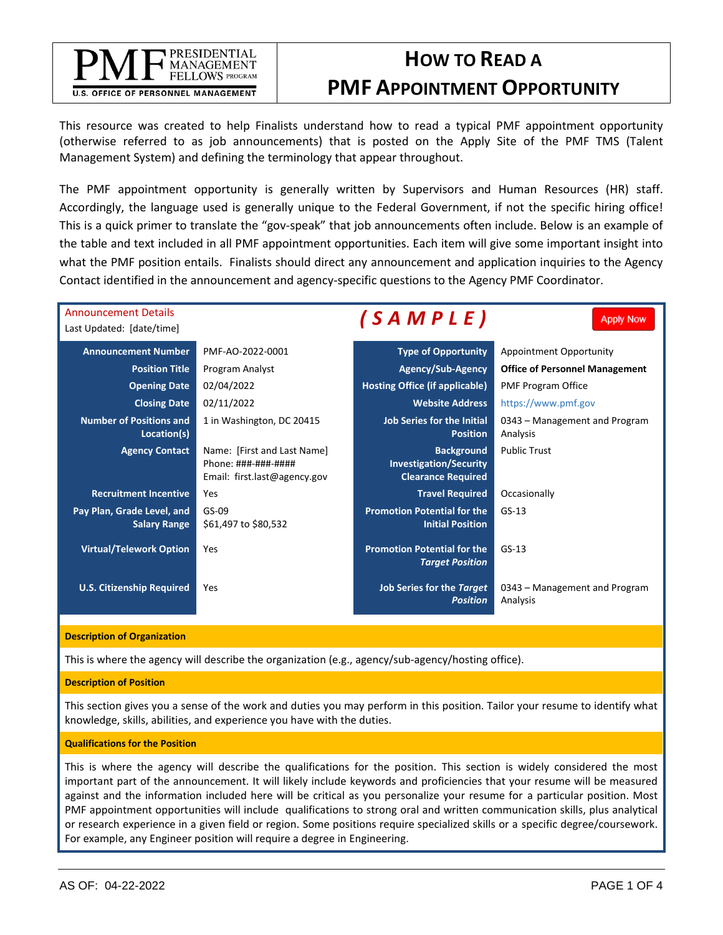## PRESIDENTIAL **MANAGEMENT** FELLOWS PROGRAM **U.S. OFFICE OF PERSONNEL MANAGEMENT**

# **HOW TO READ A PMF APPOINTMENT OPPORTUNITY**

This resource was created to help Finalists understand how to read a typical PMF appointment opportunity (otherwise referred to as job announcements) that is posted on the Apply Site of the PMF TMS (Talent Management System) and defining the terminology that appear throughout.

The PMF appointment opportunity is generally written by Supervisors and Human Resources (HR) staff. Accordingly, the language used is generally unique to the Federal Government, if not the specific hiring office! This is a quick primer to translate the "gov-speak" that job announcements often include. Below is an example of the table and text included in all PMF appointment opportunities. Each item will give some important insight into what the PMF position entails. Finalists should direct any announcement and application inquiries to the Agency Contact identified in the announcement and agency-specific questions to the Agency PMF Coordinator.

| <b>Announcement Details</b><br>Last Updated: [date/time] |                                                                                               | (SAMPLE)                                                                        | <b>Apply Now</b>                          |
|----------------------------------------------------------|-----------------------------------------------------------------------------------------------|---------------------------------------------------------------------------------|-------------------------------------------|
| <b>Announcement Number</b>                               | PMF-AO-2022-0001                                                                              | <b>Type of Opportunity</b>                                                      | Appointment Opportunity                   |
| <b>Position Title</b>                                    | Program Analyst                                                                               | <b>Agency/Sub-Agency</b>                                                        | <b>Office of Personnel Management</b>     |
| <b>Opening Date</b>                                      | 02/04/2022                                                                                    | <b>Hosting Office (if applicable)</b>                                           | <b>PMF Program Office</b>                 |
| <b>Closing Date</b>                                      | 02/11/2022                                                                                    | <b>Website Address</b>                                                          | https://www.pmf.gov                       |
| <b>Number of Positions and</b><br>Location(s)            | 1 in Washington, DC 20415                                                                     | <b>Job Series for the Initial</b><br><b>Position</b>                            | 0343 – Management and Program<br>Analysis |
| <b>Agency Contact</b>                                    | Name: [First and Last Name]<br>$Phone: # # # + # # + # # # #$<br>Email: first.last@agency.gov | <b>Background</b><br><b>Investigation/Security</b><br><b>Clearance Required</b> | <b>Public Trust</b>                       |
| <b>Recruitment Incentive</b>                             | Yes                                                                                           | <b>Travel Required</b>                                                          | Occasionally                              |
| Pay Plan, Grade Level, and<br><b>Salary Range</b>        | GS-09<br>\$61,497 to \$80,532                                                                 | <b>Promotion Potential for the</b><br><b>Initial Position</b>                   | $GS-13$                                   |
| <b>Virtual/Telework Option</b>                           | Yes                                                                                           | <b>Promotion Potential for the</b><br><b>Target Position</b>                    | $GS-13$                                   |
| <b>U.S. Citizenship Required</b>                         | Yes                                                                                           | Job Series for the Target<br><b>Position</b>                                    | 0343 – Management and Program<br>Analysis |

#### **Description of Organization**

This is where the agency will describe the organization (e.g., agency/sub-agency/hosting office).

#### **Description of Position**

This section gives you a sense of the work and duties you may perform in this position. Tailor your resume to identify what knowledge, skills, abilities, and experience you have with the duties.

#### **Qualifications for the Position**

This is where the agency will describe the qualifications for the position. This section is widely considered the most important part of the announcement. It will likely include keywords and proficiencies that your resume will be measured against and the information included here will be critical as you personalize your resume for a particular position. Most PMF appointment opportunities will include qualifications to strong oral and written communication skills, plus analytical or research experience in a given field or region. Some positions require specialized skills or a specific degree/coursework. For example, any Engineer position will require a degree in Engineering.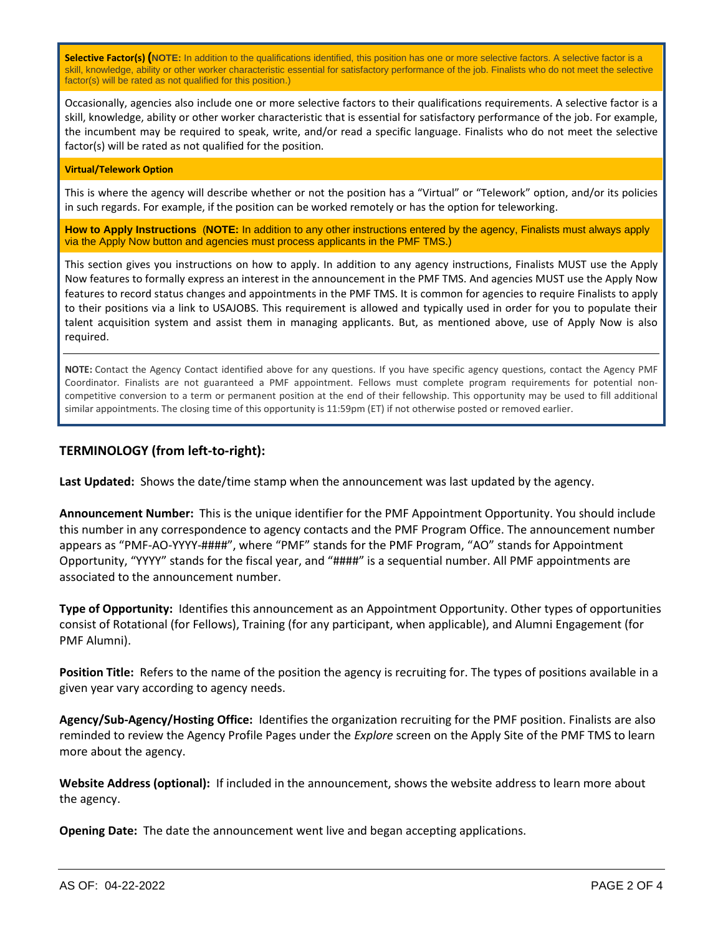**Selective Factor(s) (NOTE:** In addition to the qualifications identified, this position has one or more selective factors. A selective factor is a skill, knowledge, ability or other worker characteristic essential for satisfactory performance of the job. Finalists who do not meet the selective factor(s) will be rated as not qualified for this position.)

Occasionally, agencies also include one or more selective factors to their qualifications requirements. A selective factor is a skill, knowledge, ability or other worker characteristic that is essential for satisfactory performance of the job. For example, the incumbent may be required to speak, write, and/or read a specific language. Finalists who do not meet the selective factor(s) will be rated as not qualified for the position.

### **Virtual/Telework Option**

This is where the agency will describe whether or not the position has a "Virtual" or "Telework" option, and/or its policies in such regards. For example, if the position can be worked remotely or has the option for teleworking.

**How to Apply Instructions** (**NOTE:** In addition to any other instructions entered by the agency, Finalists must always apply via the Apply Now button and agencies must process applicants in the PMF TMS.)

This section gives you instructions on how to apply. In addition to any agency instructions, Finalists MUST use the Apply Now features to formally express an interest in the announcement in the PMF TMS. And agencies MUST use the Apply Now features to record status changes and appointments in the PMF TMS. It is common for agencies to require Finalists to apply to their positions via a link to USAJOBS. This requirement is allowed and typically used in order for you to populate their talent acquisition system and assist them in managing applicants. But, as mentioned above, use of Apply Now is also required.

**NOTE:** Contact the Agency Contact identified above for any questions. If you have specific agency questions, contact the Agency PMF Coordinator. Finalists are not guaranteed a PMF appointment. Fellows must complete program requirements for potential noncompetitive conversion to a term or permanent position at the end of their fellowship. This opportunity may be used to fill additional similar appointments. The closing time of this opportunity is 11:59pm (ET) if not otherwise posted or removed earlier.

# **TERMINOLOGY (from left-to-right):**

**Last Updated:** Shows the date/time stamp when the announcement was last updated by the agency.

**Announcement Number:** This is the unique identifier for the PMF Appointment Opportunity. You should include this number in any correspondence to agency contacts and the PMF Program Office. The announcement number appears as "PMF-AO-YYYY-####", where "PMF" stands for the PMF Program, "AO" stands for Appointment Opportunity, "YYYY" stands for the fiscal year, and "####" is a sequential number. All PMF appointments are associated to the announcement number.

**Type of Opportunity:** Identifies this announcement as an Appointment Opportunity. Other types of opportunities consist of Rotational (for Fellows), Training (for any participant, when applicable), and Alumni Engagement (for PMF Alumni).

**Position Title:** Refers to the name of the position the agency is recruiting for. The types of positions available in a given year vary according to agency needs.

**Agency/Sub-Agency/Hosting Office:** Identifies the organization recruiting for the PMF position. Finalists are also reminded to review the Agency Profile Pages under the *Explore* screen on the Apply Site of the PMF TMS to learn more about the agency.

**Website Address (optional):** If included in the announcement, shows the website address to learn more about the agency.

**Opening Date:** The date the announcement went live and began accepting applications.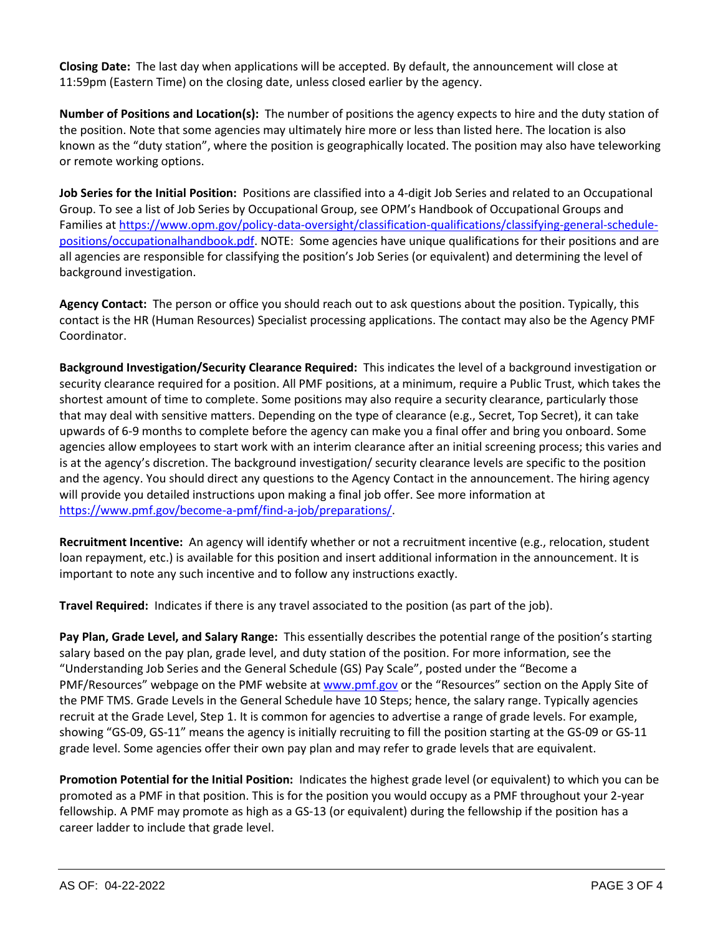**Closing Date:** The last day when applications will be accepted. By default, the announcement will close at 11:59pm (Eastern Time) on the closing date, unless closed earlier by the agency.

**Number of Positions and Location(s):** The number of positions the agency expects to hire and the duty station of the position. Note that some agencies may ultimately hire more or less than listed here. The location is also known as the "duty station", where the position is geographically located. The position may also have teleworking or remote working options.

**Job Series for the Initial Position:** Positions are classified into a 4-digit Job Series and related to an Occupational Group. To see a list of Job Series by Occupational Group, see OPM's Handbook of Occupational Groups and Families at [https://www.opm.gov/policy-data-oversight/classification-qualifications/classifying-general-schedule](https://www.opm.gov/policy-data-oversight/classification-qualifications/classifying-general-schedule-positions/occupationalhandbook.pdf)[positions/occupationalhandbook.pdf.](https://www.opm.gov/policy-data-oversight/classification-qualifications/classifying-general-schedule-positions/occupationalhandbook.pdf) NOTE: Some agencies have unique qualifications for their positions and are all agencies are responsible for classifying the position's Job Series (or equivalent) and determining the level of background investigation.

**Agency Contact:** The person or office you should reach out to ask questions about the position. Typically, this contact is the HR (Human Resources) Specialist processing applications. The contact may also be the Agency PMF Coordinator.

**Background Investigation/Security Clearance Required:** This indicates the level of a background investigation or security clearance required for a position. All PMF positions, at a minimum, require a Public Trust, which takes the shortest amount of time to complete. Some positions may also require a security clearance, particularly those that may deal with sensitive matters. Depending on the type of clearance (e.g., Secret, Top Secret), it can take upwards of 6-9 months to complete before the agency can make you a final offer and bring you onboard. Some agencies allow employees to start work with an interim clearance after an initial screening process; this varies and is at the agency's discretion. The background investigation/ security clearance levels are specific to the position and the agency. You should direct any questions to the Agency Contact in the announcement. The hiring agency will provide you detailed instructions upon making a final job offer. See more information at [https://www.pmf.gov/become-a-pmf/find-a-job/preparations/.](https://www.pmf.gov/become-a-pmf/find-a-job/preparations/)

**Recruitment Incentive:** An agency will identify whether or not a recruitment incentive (e.g., relocation, student loan repayment, etc.) is available for this position and insert additional information in the announcement. It is important to note any such incentive and to follow any instructions exactly.

**Travel Required:** Indicates if there is any travel associated to the position (as part of the job).

**Pay Plan, Grade Level, and Salary Range:** This essentially describes the potential range of the position's starting salary based on the pay plan, grade level, and duty station of the position. For more information, see the "Understanding Job Series and the General Schedule (GS) Pay Scale", posted under the "Become a PMF/Resources" webpage on the PMF website at [www.pmf.gov](http://www.pmf.gov/) or the "Resources" section on the Apply Site of the PMF TMS. Grade Levels in the General Schedule have 10 Steps; hence, the salary range. Typically agencies recruit at the Grade Level, Step 1. It is common for agencies to advertise a range of grade levels. For example, showing "GS-09, GS-11" means the agency is initially recruiting to fill the position starting at the GS-09 or GS-11 grade level. Some agencies offer their own pay plan and may refer to grade levels that are equivalent.

**Promotion Potential for the Initial Position:** Indicates the highest grade level (or equivalent) to which you can be promoted as a PMF in that position. This is for the position you would occupy as a PMF throughout your 2-year fellowship. A PMF may promote as high as a GS-13 (or equivalent) during the fellowship if the position has a career ladder to include that grade level.